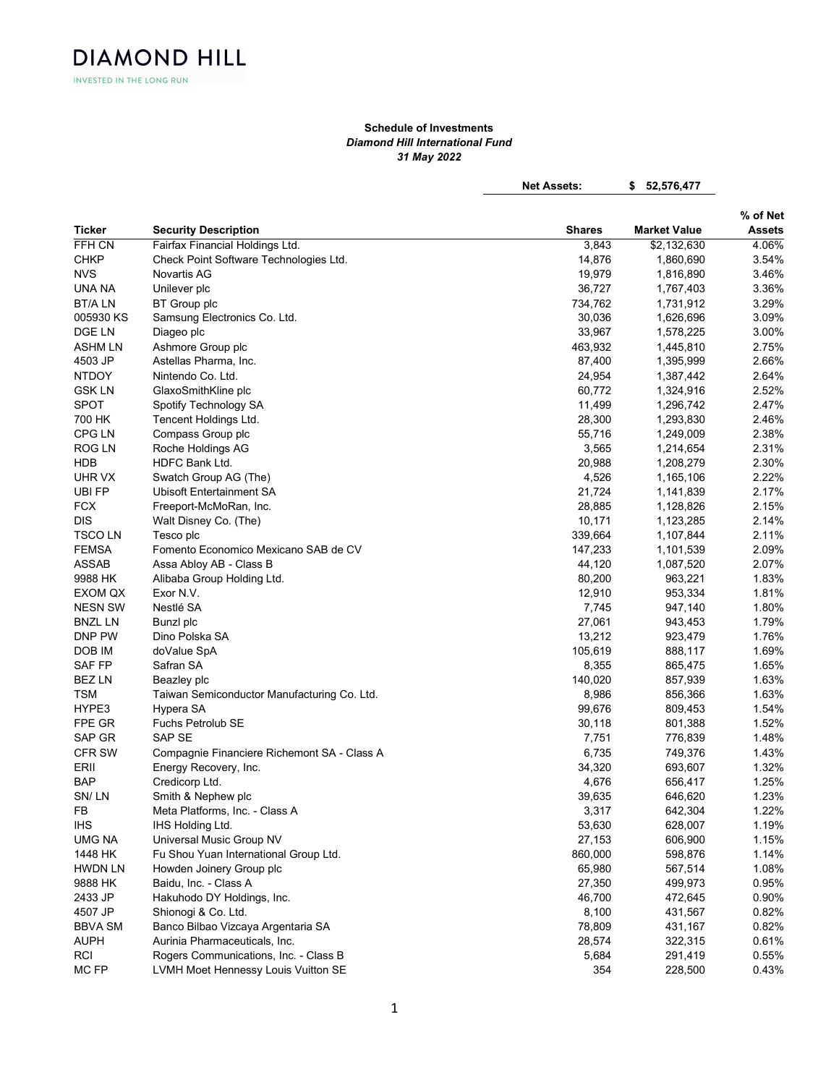INVESTED IN THE LONG RUN

**DIAMOND HILL** 

## Schedule of Investments Diamond Hill International Fund 31 May 2022

Net Assets: \$ 52,576,477

|                |                                             |               | % of Net            |               |
|----------------|---------------------------------------------|---------------|---------------------|---------------|
| Ticker         | <b>Security Description</b>                 | <b>Shares</b> | <b>Market Value</b> | <b>Assets</b> |
| FFH CN         | Fairfax Financial Holdings Ltd.             | 3,843         | \$2,132,630         | 4.06%         |
| <b>CHKP</b>    | Check Point Software Technologies Ltd.      | 14,876        | 1,860,690           | 3.54%         |
| <b>NVS</b>     | Novartis AG                                 | 19,979        | 1,816,890           | 3.46%         |
| UNA NA         | Unilever plc                                | 36,727        | 1,767,403           | 3.36%         |
| <b>BT/ALN</b>  | BT Group plc                                | 734,762       | 1,731,912           | 3.29%         |
| 005930 KS      | Samsung Electronics Co. Ltd.                | 30,036        | 1,626,696           | 3.09%         |
| DGE LN         | Diageo plc                                  | 33,967        | 1,578,225           | 3.00%         |
| ASHM LN        | Ashmore Group plc                           | 463,932       | 1,445,810           | 2.75%         |
| 4503 JP        | Astellas Pharma, Inc.                       | 87,400        | 1,395,999           | 2.66%         |
| <b>NTDOY</b>   | Nintendo Co. Ltd.                           | 24,954        | 1,387,442           | 2.64%         |
| <b>GSK LN</b>  | GlaxoSmithKline plc                         | 60,772        | 1,324,916           | 2.52%         |
| <b>SPOT</b>    | Spotify Technology SA                       | 11,499        | 1,296,742           | 2.47%         |
| 700 HK         | Tencent Holdings Ltd.                       | 28,300        | 1,293,830           | 2.46%         |
| CPG LN         | Compass Group plc                           | 55,716        | 1,249,009           | 2.38%         |
| <b>ROG LN</b>  | Roche Holdings AG                           | 3,565         | 1,214,654           | 2.31%         |
| <b>HDB</b>     | HDFC Bank Ltd.                              | 20,988        | 1,208,279           | 2.30%         |
| UHR VX         | Swatch Group AG (The)                       | 4,526         | 1,165,106           | 2.22%         |
| <b>UBI FP</b>  | Ubisoft Entertainment SA                    | 21,724        | 1,141,839           | 2.17%         |
| <b>FCX</b>     | Freeport-McMoRan, Inc.                      | 28,885        | 1,128,826           | 2.15%         |
| <b>DIS</b>     | Walt Disney Co. (The)                       | 10,171        | 1,123,285           | 2.14%         |
| <b>TSCOLN</b>  | Tesco plc                                   | 339,664       | 1,107,844           | 2.11%         |
| <b>FEMSA</b>   | Fomento Economico Mexicano SAB de CV        | 147,233       | 1,101,539           | 2.09%         |
| <b>ASSAB</b>   | Assa Abloy AB - Class B                     | 44,120        | 1,087,520           | 2.07%         |
| 9988 HK        | Alibaba Group Holding Ltd.                  | 80,200        | 963,221             | 1.83%         |
| EXOM QX        | Exor N.V.                                   | 12,910        | 953,334             | 1.81%         |
| <b>NESN SW</b> | Nestlé SA                                   | 7,745         | 947,140             | 1.80%         |
| <b>BNZL LN</b> | Bunzl plc                                   | 27,061        | 943,453             | 1.79%         |
| DNP PW         | Dino Polska SA                              | 13,212        | 923,479             | 1.76%         |
| DOB IM         | doValue SpA                                 | 105,619       | 888,117             | 1.69%         |
| <b>SAF FP</b>  | Safran SA                                   | 8,355         | 865,475             | 1.65%         |
| <b>BEZ LN</b>  | Beazley plc                                 | 140,020       | 857,939             | 1.63%         |
| <b>TSM</b>     | Taiwan Semiconductor Manufacturing Co. Ltd. | 8,986         | 856,366             | 1.63%         |
| HYPE3          | Hypera SA                                   | 99,676        | 809,453             | 1.54%         |
| FPE GR         | Fuchs Petrolub SE                           | 30,118        | 801,388             | 1.52%         |
| SAP GR         | SAP SE                                      | 7,751         | 776,839             | 1.48%         |
| CFR SW         | Compagnie Financiere Richemont SA - Class A | 6,735         | 749,376             | 1.43%         |
| ERII           | Energy Recovery, Inc.                       | 34,320        | 693,607             | 1.32%         |
| <b>BAP</b>     | Credicorp Ltd.                              | 4,676         | 656,417             | 1.25%         |
| SN/LN          | Smith & Nephew plc                          | 39,635        | 646,620             | 1.23%         |
| <b>FB</b>      | Meta Platforms, Inc. - Class A              | 3,317         | 642,304             | 1.22%         |
| <b>IHS</b>     | IHS Holding Ltd.                            | 53,630        | 628,007             | 1.19%         |
| UMG NA         | Universal Music Group NV                    | 27,153        | 606,900             | 1.15%         |
| 1448 HK        | Fu Shou Yuan International Group Ltd.       | 860,000       | 598,876             | 1.14%         |
| <b>HWDN LN</b> | Howden Joinery Group plc                    | 65,980        | 567,514             | 1.08%         |
| 9888 HK        | Baidu, Inc. - Class A                       | 27,350        | 499,973             | 0.95%         |
| 2433 JP        | Hakuhodo DY Holdings, Inc.                  | 46,700        | 472,645             | 0.90%         |
| 4507 JP        | Shionogi & Co. Ltd.                         | 8,100         | 431,567             | 0.82%         |
| <b>BBVA SM</b> | Banco Bilbao Vizcaya Argentaria SA          | 78,809        | 431,167             | 0.82%         |
| <b>AUPH</b>    | Aurinia Pharmaceuticals, Inc.               | 28,574        | 322,315             | 0.61%         |
| <b>RCI</b>     | Rogers Communications, Inc. - Class B       | 5,684         |                     | 0.55%         |
| MC FP          |                                             | 354           | 291,419             |               |
|                | LVMH Moet Hennessy Louis Vuitton SE         |               | 228,500             | 0.43%         |